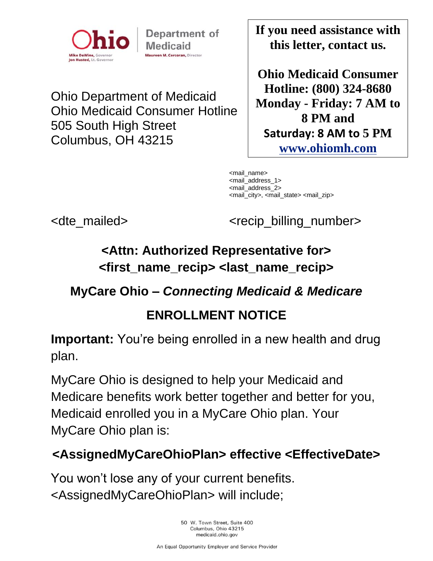

Department of **Medicaid** Maureen M. Corcoran, Director

Ohio Department of Medicaid Ohio Medicaid Consumer Hotline 505 South High Street Columbus, OH 43215

**If you need assistance with this letter, contact us.**

**Ohio Medicaid Consumer Hotline: (800) 324-8680 Monday - Friday: 7 AM to 8 PM and Saturday: 8 AM to 5 PM [www.ohiomh.com](http://www.ohiomh.com/)**

<mail\_name> <mail\_address\_1> <mail\_address\_2> <mail\_city>, <mail\_state> <mail\_zip>

<dte mailed> <crecip billing number>

# **<Attn: Authorized Representative for> <first\_name\_recip> <last\_name\_recip>**

### **MyCare Ohio –** *Connecting Medicaid & Medicare*

## **ENROLLMENT NOTICE**

**Important:** You're being enrolled in a new health and drug plan.

MyCare Ohio is designed to help your Medicaid and Medicare benefits work better together and better for you, Medicaid enrolled you in a MyCare Ohio plan. Your MyCare Ohio plan is:

## **<AssignedMyCareOhioPlan> effective <EffectiveDate>**

You won't lose any of your current benefits. <AssignedMyCareOhioPlan> will include;

> 50 W. Town Street, Suite 400 Columbus, Ohio 43215 medicaid.ohio.gov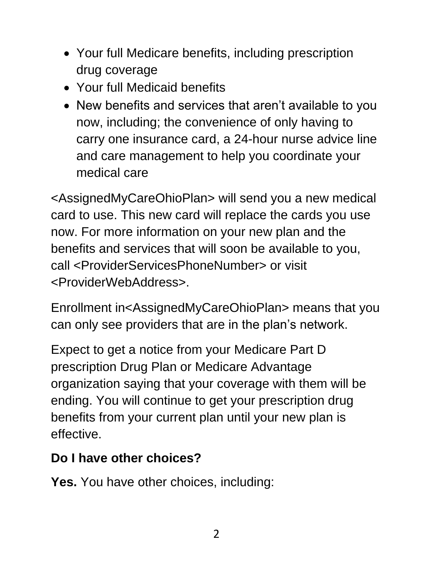- Your full Medicare benefits, including prescription drug coverage
- Your full Medicaid benefits
- New benefits and services that aren't available to you now, including; the convenience of only having to carry one insurance card, a 24-hour nurse advice line and care management to help you coordinate your medical care

<AssignedMyCareOhioPlan> will send you a new medical card to use. This new card will replace the cards you use now. For more information on your new plan and the benefits and services that will soon be available to you, call <ProviderServicesPhoneNumber> or visit <ProviderWebAddress>.

Enrollment in<AssignedMyCareOhioPlan> means that you can only see providers that are in the plan's network.

Expect to get a notice from your Medicare Part D prescription Drug Plan or Medicare Advantage organization saying that your coverage with them will be ending. You will continue to get your prescription drug benefits from your current plan until your new plan is effective.

## **Do I have other choices?**

**Yes.** You have other choices, including: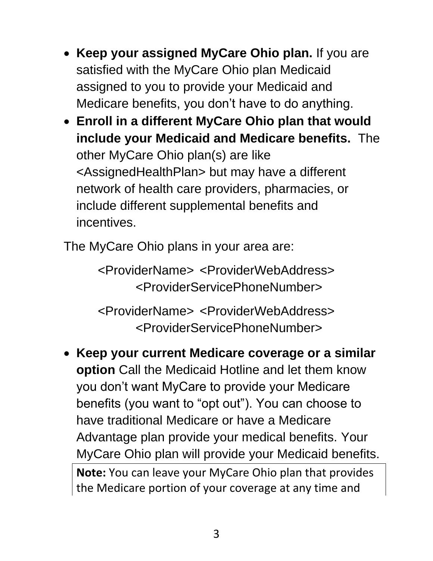- **Keep your assigned MyCare Ohio plan.** If you are satisfied with the MyCare Ohio plan Medicaid assigned to you to provide your Medicaid and Medicare benefits, you don't have to do anything.
- **Enroll in a different MyCare Ohio plan that would include your Medicaid and Medicare benefits.** The other MyCare Ohio plan(s) are like <AssignedHealthPlan> but may have a different network of health care providers, pharmacies, or include different supplemental benefits and incentives.

The MyCare Ohio plans in your area are:

<ProviderName> <ProviderWebAddress> <ProviderServicePhoneNumber>

<ProviderName> <ProviderWebAddress> <ProviderServicePhoneNumber>

• **Keep your current Medicare coverage or a similar option** Call the Medicaid Hotline and let them know you don't want MyCare to provide your Medicare benefits (you want to "opt out"). You can choose to have traditional Medicare or have a Medicare Advantage plan provide your medical benefits. Your MyCare Ohio plan will provide your Medicaid benefits. **Note:** You can leave your MyCare Ohio plan that provides

the Medicare portion of your coverage at any time and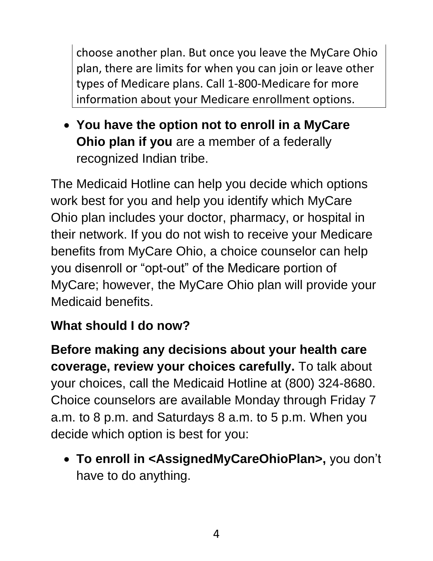choose another plan. But once you leave the MyCare Ohio plan, there are limits for when you can join or leave other types of Medicare plans. Call 1-800-Medicare for more information about your Medicare enrollment options.

• **You have the option not to enroll in a MyCare Ohio plan if you** are a member of a federally recognized Indian tribe.

The Medicaid Hotline can help you decide which options work best for you and help you identify which MyCare Ohio plan includes your doctor, pharmacy, or hospital in their network. If you do not wish to receive your Medicare benefits from MyCare Ohio, a choice counselor can help you disenroll or "opt-out" of the Medicare portion of MyCare; however, the MyCare Ohio plan will provide your Medicaid benefits.

# **What should I do now?**

**Before making any decisions about your health care coverage, review your choices carefully.** To talk about your choices, call the Medicaid Hotline at (800) 324-8680. Choice counselors are available Monday through Friday 7 a.m. to 8 p.m. and Saturdays 8 a.m. to 5 p.m. When you decide which option is best for you:

• **To enroll in <AssignedMyCareOhioPlan>,** you don't have to do anything.